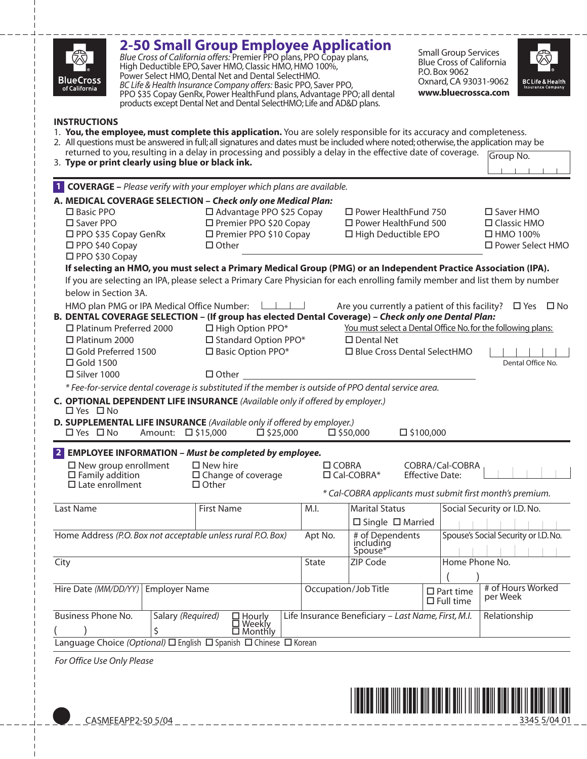| Q2<br><b>BlueCross</b><br>of California                                                                                                                                         |                                                                                                    | <b>2-50 Small Group Employee Application</b><br>Blue Cross of California offers: Premier PPO plans, PPO Copay plans,<br>High Deductible EPO, Saver HMO, Classic HMO, HMO 100%,<br>Power Select HMO, Dental Net and Dental SelectHMO.<br>BC Life & Health Insurance Company offers: Basic PPO, Saver PPO,<br>PPO \$35 Copay GenRx, Power HealthFund plans, Advantage PPO; all dental<br>products except Dental Net and Dental SelectHMO; Life and AD&D plans. |                                                                                             |                                                                                                                       | <b>Small Group Services</b><br><b>Blue Cross of California</b><br>P.O. Box 9062<br>Oxnard, CA 93031-9062<br>www.bluecrossca.com | <b>BC Life &amp; Health</b><br><b>Insurance Company</b>                                 |
|---------------------------------------------------------------------------------------------------------------------------------------------------------------------------------|----------------------------------------------------------------------------------------------------|--------------------------------------------------------------------------------------------------------------------------------------------------------------------------------------------------------------------------------------------------------------------------------------------------------------------------------------------------------------------------------------------------------------------------------------------------------------|---------------------------------------------------------------------------------------------|-----------------------------------------------------------------------------------------------------------------------|---------------------------------------------------------------------------------------------------------------------------------|-----------------------------------------------------------------------------------------|
| <b>INSTRUCTIONS</b><br>3. Type or print clearly using blue or black ink.                                                                                                        |                                                                                                    | 1. You, the employee, must complete this application. You are solely responsible for its accuracy and completeness.<br>2. All questions must be answered in full; all signatures and dates must be included where noted; otherwise, the application may be<br>returned to you, resulting in a delay in processing and possibly a delay in the effective date of coverage.                                                                                    |                                                                                             |                                                                                                                       |                                                                                                                                 | Group No.                                                                               |
|                                                                                                                                                                                 |                                                                                                    | <b>1 COVERAGE</b> – Please verify with your employer which plans are available.                                                                                                                                                                                                                                                                                                                                                                              |                                                                                             |                                                                                                                       |                                                                                                                                 |                                                                                         |
|                                                                                                                                                                                 |                                                                                                    | A. MEDICAL COVERAGE SELECTION - Check only one Medical Plan:                                                                                                                                                                                                                                                                                                                                                                                                 |                                                                                             |                                                                                                                       |                                                                                                                                 |                                                                                         |
| $\square$ Basic PPO<br>$\square$ Saver PPO<br>$\Box$ PPO \$35 Copay GenRx<br>$\Box$ PPO \$40 Copay<br>$\Box$ PPO \$30 Copay                                                     | □ Advantage PPO \$25 Copay<br>□ Premier PPO \$20 Copay<br>□ Premier PPO \$10 Copay<br>$\Box$ Other |                                                                                                                                                                                                                                                                                                                                                                                                                                                              | $\Box$ Power HealthFund 750<br>$\square$ Power HealthFund 500<br>$\Box$ High Deductible EPO | □ Saver HMO<br>$\Box$ Classic HMO<br>$\Box$ HMO 100%<br>□ Power Select HMO                                            |                                                                                                                                 |                                                                                         |
| below in Section 3A.                                                                                                                                                            |                                                                                                    | If selecting an HMO, you must select a Primary Medical Group (PMG) or an Independent Practice Association (IPA).<br>If you are selecting an IPA, please select a Primary Care Physician for each enrolling family member and list them by number                                                                                                                                                                                                             |                                                                                             |                                                                                                                       |                                                                                                                                 |                                                                                         |
| HMO plan PMG or IPA Medical Office Number:<br>$\Box$ Platinum Preferred 2000<br>$\Box$ Platinum 2000<br>$\Box$ Gold Preferred 1500<br>$\Box$ Gold 1500<br>$\square$ Silver 1000 |                                                                                                    | B. DENTAL COVERAGE SELECTION - (If group has elected Dental Coverage) - Check only one Dental Plan:<br>$\Box$ High Option PPO*<br>$\Box$ Standard Option PPO*<br>□ Basic Option PPO*<br>$\Box$ Other                                                                                                                                                                                                                                                         |                                                                                             | You must select a Dental Office No. for the following plans:<br>$\square$ Dental Net<br>□ Blue Cross Dental SelectHMO |                                                                                                                                 | Are you currently a patient of this facility? $\Box$ Yes $\Box$ No<br>Dental Office No. |
|                                                                                                                                                                                 |                                                                                                    | * Fee-for-service dental coverage is substituted if the member is outside of PPO dental service area.                                                                                                                                                                                                                                                                                                                                                        |                                                                                             |                                                                                                                       |                                                                                                                                 |                                                                                         |
| $\Box$ Yes $\Box$ No<br>$\Box$ Yes $\Box$ No                                                                                                                                    | Amount:                                                                                            | C. OPTIONAL DEPENDENT LIFE INSURANCE (Available only if offered by employer.)<br>D. SUPPLEMENTAL LIFE INSURANCE (Available only if offered by employer.)<br>$\Box$ \$15,000<br>$\square$ \$25,000                                                                                                                                                                                                                                                            |                                                                                             | $\square$ \$50,000                                                                                                    | $\square$ \$100,000                                                                                                             |                                                                                         |
| $\square$ New group enrollment<br>$\Box$ Family addition<br>$\Box$ Late enrollment                                                                                              |                                                                                                    | 2 EMPLOYEE INFORMATION - Must be completed by employee.<br>$\square$ New hire<br>$\Box$ Change of coverage<br>$\Box$ Other                                                                                                                                                                                                                                                                                                                                   | $\Box$ COBRA                                                                                | $\Box$ Cal-COBRA*<br>* Cal-COBRA applicants must submit first month's premium.                                        | COBRA/Cal-COBRA<br><b>Effective Date:</b>                                                                                       |                                                                                         |
| Last Name                                                                                                                                                                       |                                                                                                    | <b>First Name</b>                                                                                                                                                                                                                                                                                                                                                                                                                                            | M.I.                                                                                        | <b>Marital Status</b>                                                                                                 |                                                                                                                                 | Social Security or I.D. No.                                                             |
|                                                                                                                                                                                 |                                                                                                    |                                                                                                                                                                                                                                                                                                                                                                                                                                                              |                                                                                             | $\square$ Single $\square$ Married                                                                                    |                                                                                                                                 |                                                                                         |
| Home Address (P.O. Box not acceptable unless rural P.O. Box)                                                                                                                    |                                                                                                    |                                                                                                                                                                                                                                                                                                                                                                                                                                                              |                                                                                             | # of Dependents<br>including<br>Spouse*                                                                               |                                                                                                                                 | Spouse's Social Security or I.D. No.                                                    |
| City                                                                                                                                                                            |                                                                                                    |                                                                                                                                                                                                                                                                                                                                                                                                                                                              |                                                                                             | ZIP Code                                                                                                              | Home Phone No.                                                                                                                  |                                                                                         |
| Hire Date (MM/DD/YY)<br><b>Employer Name</b>                                                                                                                                    |                                                                                                    |                                                                                                                                                                                                                                                                                                                                                                                                                                                              |                                                                                             | # of Hours Worked<br>Occupation/Job Title<br>$\square$ Part time<br>per Week<br>$\Box$ Full time                      |                                                                                                                                 |                                                                                         |
| Business Phone No.                                                                                                                                                              | Salary (Required)<br>\$                                                                            | $\Box$ Hourly<br>□ Weekly<br>$\Box$ Monthly                                                                                                                                                                                                                                                                                                                                                                                                                  |                                                                                             | Life Insurance Beneficiary - Last Name, First, M.I.                                                                   |                                                                                                                                 | Relationship                                                                            |
|                                                                                                                                                                                 |                                                                                                    | Language Choice (Optional) □ English □ Spanish □ Chinese □ Korean                                                                                                                                                                                                                                                                                                                                                                                            |                                                                                             |                                                                                                                       |                                                                                                                                 |                                                                                         |
| For Office Use Only Please                                                                                                                                                      |                                                                                                    |                                                                                                                                                                                                                                                                                                                                                                                                                                                              |                                                                                             |                                                                                                                       |                                                                                                                                 |                                                                                         |



 $-+--$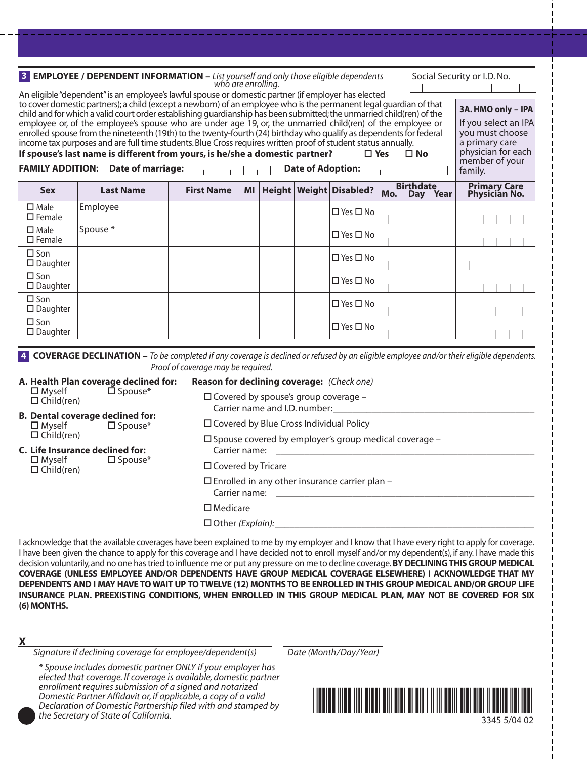|                                                                                                                                                                                                                                                                                                                                                                                                                                                                                                                                                                                                                                                                                                                                                                                                                                                                                                     | <b>B EMPLOYEE</b> / DEPENDENT INFORMATION $-$ List yourself and only those eligible dependents who are enrolling.                                |                                                                   |                                                                              |           |  |  |                             |                                                                                                                                    | Social Security or I.D. No.           |  |
|-----------------------------------------------------------------------------------------------------------------------------------------------------------------------------------------------------------------------------------------------------------------------------------------------------------------------------------------------------------------------------------------------------------------------------------------------------------------------------------------------------------------------------------------------------------------------------------------------------------------------------------------------------------------------------------------------------------------------------------------------------------------------------------------------------------------------------------------------------------------------------------------------------|--------------------------------------------------------------------------------------------------------------------------------------------------|-------------------------------------------------------------------|------------------------------------------------------------------------------|-----------|--|--|-----------------------------|------------------------------------------------------------------------------------------------------------------------------------|---------------------------------------|--|
| An eligible "dependent" is an employee's lawful spouse or domestic partner (if employer has elected<br>to cover domestic partners); a child (except a newborn) of an employee who is the permanent legal guardian of that<br>child and for which a valid court order establishing quardianship has been submitted; the unmarried child(ren) of the<br>employee or, of the employee's spouse who are under age 19, or, the unmarried child(ren) of the employee or<br>enrolled spouse from the nineteenth (19th) to the twenty-fourth (24) birthday who qualify as dependents for federal<br>income tax purposes and are full time students. Blue Cross requires written proof of student status annually.<br>If spouse's last name is different from yours, is he/she a domestic partner?<br>$\square$ Yes<br>$\square$ No<br><b>FAMILY ADDITION: Date of marriage:</b><br><b>Date of Adoption:</b> |                                                                                                                                                  |                                                                   |                                                                              |           |  |  |                             | 3A. HMO only - IPA<br>If you select an IPA<br>you must choose<br>a primary care<br>physician for each<br>member of your<br>family. |                                       |  |
| <b>Sex</b>                                                                                                                                                                                                                                                                                                                                                                                                                                                                                                                                                                                                                                                                                                                                                                                                                                                                                          | <b>Last Name</b>                                                                                                                                 |                                                                   | <b>First Name</b>                                                            | <b>MI</b> |  |  | Height   Weight   Disabled? | <b>Birthdate</b><br>Day Year<br>Mo.                                                                                                | <b>Primary Care<br/>Physician No.</b> |  |
| $\square$ Male<br>$\square$ Female                                                                                                                                                                                                                                                                                                                                                                                                                                                                                                                                                                                                                                                                                                                                                                                                                                                                  | Employee                                                                                                                                         |                                                                   |                                                                              |           |  |  | $\Box$ Yes $\Box$ No        |                                                                                                                                    |                                       |  |
| $\square$ Male<br>$\square$ Female                                                                                                                                                                                                                                                                                                                                                                                                                                                                                                                                                                                                                                                                                                                                                                                                                                                                  | Spouse *                                                                                                                                         |                                                                   |                                                                              |           |  |  | □ Yes □ No                  |                                                                                                                                    |                                       |  |
| $\square$ Son<br>$\square$ Daughter                                                                                                                                                                                                                                                                                                                                                                                                                                                                                                                                                                                                                                                                                                                                                                                                                                                                 |                                                                                                                                                  |                                                                   |                                                                              |           |  |  | □ Yes □ No                  |                                                                                                                                    |                                       |  |
| $\square$ Son<br>$\square$ Daughter                                                                                                                                                                                                                                                                                                                                                                                                                                                                                                                                                                                                                                                                                                                                                                                                                                                                 |                                                                                                                                                  |                                                                   |                                                                              |           |  |  | □ Yes □ No                  |                                                                                                                                    |                                       |  |
| $\square$ Son<br>$\square$ Daughter                                                                                                                                                                                                                                                                                                                                                                                                                                                                                                                                                                                                                                                                                                                                                                                                                                                                 |                                                                                                                                                  |                                                                   |                                                                              |           |  |  | □ Yes □ No                  |                                                                                                                                    |                                       |  |
| $\square$ Son<br>$\square$ Daughter                                                                                                                                                                                                                                                                                                                                                                                                                                                                                                                                                                                                                                                                                                                                                                                                                                                                 |                                                                                                                                                  |                                                                   |                                                                              |           |  |  | $\Box$ Yes $\Box$ No        |                                                                                                                                    |                                       |  |
|                                                                                                                                                                                                                                                                                                                                                                                                                                                                                                                                                                                                                                                                                                                                                                                                                                                                                                     | 4 <b>COVERAGE DECLINATION</b> – To be completed if any coverage is declined or refused by an eligible employee and/or their eligible dependents. |                                                                   |                                                                              |           |  |  |                             |                                                                                                                                    |                                       |  |
|                                                                                                                                                                                                                                                                                                                                                                                                                                                                                                                                                                                                                                                                                                                                                                                                                                                                                                     |                                                                                                                                                  |                                                                   | Proof of coverage may be required.                                           |           |  |  |                             |                                                                                                                                    |                                       |  |
| A. Health Plan coverage declined for:<br>Reason for declining coverage: (Check one)<br>$\overline{\Box}$ Spouse*<br>$\square$ Myself                                                                                                                                                                                                                                                                                                                                                                                                                                                                                                                                                                                                                                                                                                                                                                |                                                                                                                                                  |                                                                   |                                                                              |           |  |  |                             |                                                                                                                                    |                                       |  |
| $\Box$ Child(ren)                                                                                                                                                                                                                                                                                                                                                                                                                                                                                                                                                                                                                                                                                                                                                                                                                                                                                   |                                                                                                                                                  |                                                                   | $\Box$ Covered by spouse's group coverage -<br>Carrier name and I.D. number: |           |  |  |                             |                                                                                                                                    |                                       |  |
| $\square$ Myself                                                                                                                                                                                                                                                                                                                                                                                                                                                                                                                                                                                                                                                                                                                                                                                                                                                                                    | <b>B. Dental coverage declined for:</b><br>$\square$ Spouse*                                                                                     |                                                                   | □ Covered by Blue Cross Individual Policy                                    |           |  |  |                             |                                                                                                                                    |                                       |  |
| $\Box$ Child(ren)                                                                                                                                                                                                                                                                                                                                                                                                                                                                                                                                                                                                                                                                                                                                                                                                                                                                                   |                                                                                                                                                  |                                                                   | $\square$ Spouse covered by employer's group medical coverage -              |           |  |  |                             |                                                                                                                                    |                                       |  |
| $\square$ Myself                                                                                                                                                                                                                                                                                                                                                                                                                                                                                                                                                                                                                                                                                                                                                                                                                                                                                    | C. Life Insurance declined for:<br>$\square$ Spouse*                                                                                             |                                                                   | Carrier name:                                                                |           |  |  |                             |                                                                                                                                    |                                       |  |
| $\Box$ Child(ren)                                                                                                                                                                                                                                                                                                                                                                                                                                                                                                                                                                                                                                                                                                                                                                                                                                                                                   |                                                                                                                                                  |                                                                   | □ Covered by Tricare                                                         |           |  |  |                             |                                                                                                                                    |                                       |  |
|                                                                                                                                                                                                                                                                                                                                                                                                                                                                                                                                                                                                                                                                                                                                                                                                                                                                                                     |                                                                                                                                                  | □ Enrolled in any other insurance carrier plan -<br>Carrier name: |                                                                              |           |  |  |                             |                                                                                                                                    |                                       |  |
|                                                                                                                                                                                                                                                                                                                                                                                                                                                                                                                                                                                                                                                                                                                                                                                                                                                                                                     |                                                                                                                                                  |                                                                   | $\square$ Medicare                                                           |           |  |  |                             |                                                                                                                                    |                                       |  |

 $\Box$  Other *(Explain):* 

I acknowledge that the available coverages have been explained to me by my employer and I know that I have every right to apply for coverage. I have been given the chance to apply for this coverage and I have decided not to enroll myself and/or my dependent(s), if any. I have made this decision voluntarily,and no one has tried to influence me or put any pressure on me to decline coverage.**BY DECLINING THIS GROUP MEDICAL COVERAGE (UNLESS EMPLOYEE AND/OR DEPENDENTS HAVE GROUP MEDICAL COVERAGE ELSEWHERE) I ACKNOWLEDGE THAT MY DEPENDENTS AND I MAY HAVE TO WAIT UP TO TWELVE (12) MONTHS TO BE ENROLLED IN THIS GROUP MEDICAL AND/OR GROUP LIFE INSURANCE PLAN. PREEXISTING CONDITIONS, WHEN ENROLLED IN THIS GROUP MEDICAL PLAN, MAY NOT BE COVERED FOR SIX (6) MONTHS.**

**X**

*Signature if declining coverage for employee/dependent(s)*

*\* Spouse includes domestic partner ONLY if your employer has elected that coverage. If coverage is available, domestic partner enrollment requires submission of a signed and notarized Domestic Partner Affidavit or, if applicable, a copy of a valid Declaration of Domestic Partnership filed with and stamped by the Secretary of State of California.*

*Date (Month/Day/Year)*

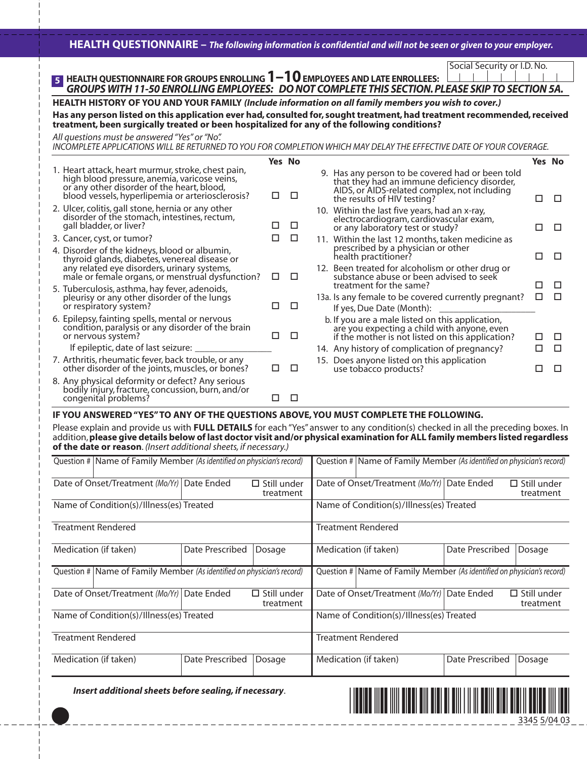# **HEALTH QUESTIONNAIRE –** *The following information is confidential and will not be seen or given to your employer.*

Social Security or I.D. No.

#### **HEALTH QUESTIONNAIRE FOR GROUPS ENROLLING 1–10EMPLOYEES AND LATE ENROLLEES:** *GROUPS WITH 11-50 ENROLLING EMPLOYEES: DO NOT COMPLETE THIS SECTION. PLEASE SKIP TO SECTION 5A.* **5**

## **HEALTH HISTORY OF YOU AND YOUR FAMILY** *(Include information on all family members you wish to cover.)*

**Has any person listed on this application ever had, consulted for, sought treatment, had treatment recommended, received treatment, been surgically treated or been hospitalized for any of the following conditions?**

*All questions must be answered "Yes" or "No".*

*INCOMPLETE APPLICATIONS WILL BE RETURNED TO YOU FOR COMPLETION WHICH MAY DELAY THE EFFECTIVE DATE OF YOUR COVERAGE.*

|                                                                                                                                                                                                      |   | Yes No |                                                                                                                                                                                 |         | <b>Yes No</b> |
|------------------------------------------------------------------------------------------------------------------------------------------------------------------------------------------------------|---|--------|---------------------------------------------------------------------------------------------------------------------------------------------------------------------------------|---------|---------------|
| 1. Heart attack, heart murmur, stroke, chest pain,<br>high blood pressure, anemia, varicose veins,<br>or any other disorder of the heart, blood,<br>blood vessels, hyperlipemia or arteriosclerosis? | ◻ | □      | 9. Has any person to be covered had or been told<br>that they had an immune deficiency disorder,<br>AIDS, or AIDS-related complex, not including<br>the results of HIV testing? | □       | $\Box$        |
| 2. Ulcer, colitis, gall stone, hernia or any other<br>disorder of the stomach, intestines, rectum,<br>gall bladder, or liver?                                                                        | □ | □      | 10. Within the last five years, had an x-ray,<br>electrocardiogram, cardiovascular exam,<br>or any laboratory test or study?                                                    | п       | □             |
| 3. Cancer, cyst, or tumor?                                                                                                                                                                           | П | □      | 11. Within the last 12 months, taken medicine as                                                                                                                                |         |               |
| 4. Disorder of the kidneys, blood or albumin,<br>thyroid glands, diabetes, venereal disease or                                                                                                       |   |        | prescribed by a physician or other<br>health practitioner?                                                                                                                      | П       | □             |
| any related eye disorders, urinary systems,<br>male or female organs, or menstrual dysfunction?                                                                                                      | □ | □      | 12. Been treated for alcoholism or other drug or<br>substance abuse or been advised to seek                                                                                     |         |               |
| 5. Tuberculosis, asthma, hay fever, adenoids,<br>pleurisy or any other disorder of the lungs<br>or respiratory system?                                                                               | □ | Л      | treatment for the same?<br>13a. Is any female to be covered currently pregnant?<br>If yes, Due Date (Month):                                                                    | ΙI<br>□ | П<br>П        |
| 6. Epilepsy, fainting spells, mental or nervous<br>condition, paralysis or any disorder of the brain<br>or nervous system?                                                                           | □ | □      | b. If you are a male listed on this application,<br>are you expecting a child with anyone, even<br>if the mother is not listed on this application?                             | П       |               |
| If epileptic, date of last seizure: ___                                                                                                                                                              |   |        | 14. Any history of complication of pregnancy?                                                                                                                                   | □       | □             |
| 7. Arthritis, rheumatic fever, back trouble, or any<br>other disorder of the joints, muscles, or bones?                                                                                              | □ | □      | 15. Does anyone listed on this application<br>use tobacco products?                                                                                                             | п       | □             |
| 8. Any physical deformity or defect? Any serious<br>bodily injury, fracture, concussion, burn, and/or<br>congenital problems?                                                                        | ⊔ | □      |                                                                                                                                                                                 |         |               |

## **IF YOU ANSWERED "YES" TO ANY OF THE QUESTIONS ABOVE, YOU MUST COMPLETE THE FOLLOWING.**

Please explain and provide us with **FULL DETAILS** for each "Yes" answer to any condition(s) checked in all the preceding boxes. In addition,**please give details below of last doctor visit and/or physical examination for ALL family members listed regardless of the date or reason**. *(Insert additional sheets, if necessary.)*

| Question # Name of Family Member (As identified on physician's record) |                 |                                 | Question #   Name of Family Member (As identified on physician's record) |                                                                          |                 |                                 |  |  |
|------------------------------------------------------------------------|-----------------|---------------------------------|--------------------------------------------------------------------------|--------------------------------------------------------------------------|-----------------|---------------------------------|--|--|
| Date of Onset/Treatment (Mo/Yr)                                        | Date Ended      | $\Box$ Still under<br>treatment |                                                                          | Date of Onset/Treatment (Mo/Yr)   Date Ended                             |                 | $\Box$ Still under<br>treatment |  |  |
| Name of Condition(s)/Illness(es) Treated                               |                 |                                 | Name of Condition(s)/Illness(es) Treated                                 |                                                                          |                 |                                 |  |  |
| <b>Treatment Rendered</b>                                              |                 |                                 |                                                                          | <b>Treatment Rendered</b>                                                |                 |                                 |  |  |
| Medication (if taken)                                                  | Date Prescribed | Dosage                          |                                                                          | Medication (if taken)                                                    | Date Prescribed | Dosage                          |  |  |
| Question # Name of Family Member (As identified on physician's record) |                 |                                 |                                                                          | Question #   Name of Family Member (As identified on physician's record) |                 |                                 |  |  |
| Date of Onset/Treatment (Mo/Yr)                                        | Date Ended      | $\Box$ Still under<br>treatment |                                                                          | Date of Onset/Treatment (Mo/Yr)   Date Ended                             |                 | $\Box$ Still under<br>treatment |  |  |
| Name of Condition(s)/Illness(es) Treated                               |                 |                                 |                                                                          | Name of Condition(s)/Illness(es) Treated                                 |                 |                                 |  |  |
| <b>Treatment Rendered</b>                                              |                 |                                 |                                                                          | <b>Treatment Rendered</b>                                                |                 |                                 |  |  |
| Medication (if taken)                                                  | Date Prescribed | Dosage                          |                                                                          | Medication (if taken)                                                    | Date Prescribed | Dosage                          |  |  |

*Insert additional sheets before sealing, if necessary*.

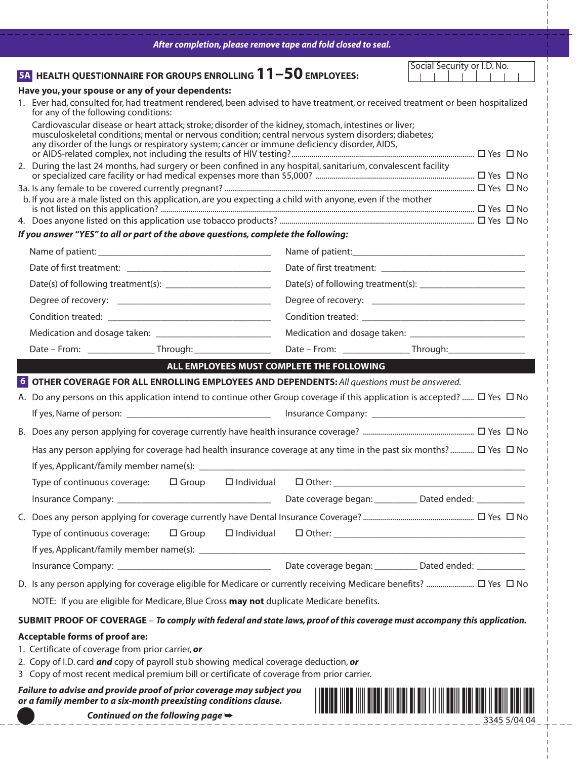| After completion, please remove tape and fold closed to seal.                                                                                                                                                                                                                                                                                                                                           |                                                             |
|---------------------------------------------------------------------------------------------------------------------------------------------------------------------------------------------------------------------------------------------------------------------------------------------------------------------------------------------------------------------------------------------------------|-------------------------------------------------------------|
| <b>54 HEALTH QUESTIONNAIRE FOR GROUPS ENROLLING 11-50 EMPLOYEES:</b>                                                                                                                                                                                                                                                                                                                                    | Social Security or I.D. No.                                 |
| Have you, your spouse or any of your dependents:                                                                                                                                                                                                                                                                                                                                                        |                                                             |
| 1. Ever had, consulted for, had treatment rendered, been advised to have treatment, or received treatment or been hospitalized<br>for any of the following conditions:                                                                                                                                                                                                                                  |                                                             |
| Cardiovascular disease or heart attack; stroke; disorder of the kidney, stomach, intestines or liver;<br>musculoskeletal conditions; mental or nervous condition; central nervous system disorders; diabetes;<br>any disorder of the lungs or respiratory system; cancer or immune deficiency disorder, AIDS,                                                                                           |                                                             |
| 2. During the last 24 months, had surgery or been confined in any hospital, sanitarium, convalescent facility                                                                                                                                                                                                                                                                                           |                                                             |
| b. If you are a male listed on this application, are you expecting a child with anyone, even if the mother                                                                                                                                                                                                                                                                                              |                                                             |
| If you answer "YES" to all or part of the above questions, complete the following:                                                                                                                                                                                                                                                                                                                      |                                                             |
|                                                                                                                                                                                                                                                                                                                                                                                                         |                                                             |
|                                                                                                                                                                                                                                                                                                                                                                                                         |                                                             |
|                                                                                                                                                                                                                                                                                                                                                                                                         |                                                             |
|                                                                                                                                                                                                                                                                                                                                                                                                         |                                                             |
|                                                                                                                                                                                                                                                                                                                                                                                                         |                                                             |
|                                                                                                                                                                                                                                                                                                                                                                                                         |                                                             |
|                                                                                                                                                                                                                                                                                                                                                                                                         |                                                             |
| ALL EMPLOYEES MUST COMPLETE THE FOLLOWING<br>$\mathcal{L}^{\text{max}}_{\text{max}}$                                                                                                                                                                                                                                                                                                                    |                                                             |
| 6 OTHER COVERAGE FOR ALL ENROLLING EMPLOYEES AND DEPENDENTS: All questions must be answered.<br>A. Do any persons on this application intend to continue other Group coverage if this application is accepted? $\Box$ Yes $\Box$ No<br>Has any person applying for coverage had health insurance coverage at any time in the past six months?  □ Yes □ No<br>If yes, Applicant/family member name(s): _ |                                                             |
|                                                                                                                                                                                                                                                                                                                                                                                                         |                                                             |
|                                                                                                                                                                                                                                                                                                                                                                                                         |                                                             |
|                                                                                                                                                                                                                                                                                                                                                                                                         |                                                             |
|                                                                                                                                                                                                                                                                                                                                                                                                         |                                                             |
|                                                                                                                                                                                                                                                                                                                                                                                                         |                                                             |
| NOTE: If you are eligible for Medicare, Blue Cross may not duplicate Medicare benefits.                                                                                                                                                                                                                                                                                                                 |                                                             |
| SUBMIT PROOF OF COVERAGE - To comply with federal and state laws, proof of this coverage must accompany this application.                                                                                                                                                                                                                                                                               |                                                             |
| <b>Acceptable forms of proof are:</b><br>1. Certificate of coverage from prior carrier, or<br>2. Copy of I.D. card and copy of payroll stub showing medical coverage deduction, or<br>3 Copy of most recent medical premium bill or certificate of coverage from prior carrier.                                                                                                                         |                                                             |
| Failure to advise and provide proof of prior coverage may subject you<br>or a family member to a six-month preexisting conditions clause.                                                                                                                                                                                                                                                               | $\frac{1}{2}$ Continued on the following page $\rightarrow$ |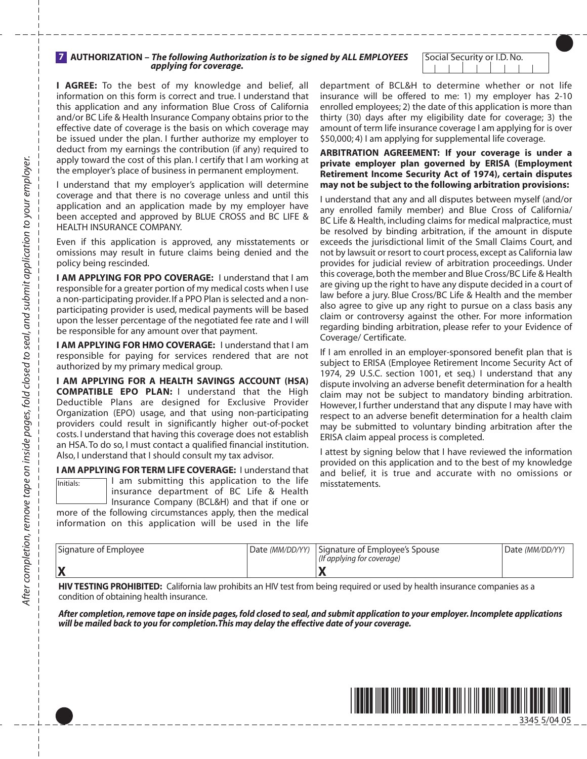#### **AUTHORIZATION –** *The following Authorization is to be signed by ALL EMPLOYEES*  **7** *applying for coverage.*

Social Security or I.D. No.  $\Box$ 

**I AGREE:** To the best of my knowledge and belief, all information on this form is correct and true. I understand that this application and any information Blue Cross of California and/or BC Life & Health Insurance Company obtains prior to the effective date of coverage is the basis on which coverage may be issued under the plan. I further authorize my employer to deduct from my earnings the contribution (if any) required to apply toward the cost of this plan. I certify that I am working at the employer's place of business in permanent employment.

I understand that my employer's application will determine coverage and that there is no coverage unless and until this application and an application made by my employer have been accepted and approved by BLUE CROSS and BC LIFE & HEALTH INSURANCE COMPANY.

Even if this application is approved, any misstatements or omissions may result in future claims being denied and the policy being rescinded.

**I AM APPLYING FOR PPO COVERAGE:** I understand that I am responsible for a greater portion of my medical costs when I use a non-participating provider. If a PPO Plan is selected and a nonparticipating provider is used, medical payments will be based upon the lesser percentage of the negotiated fee rate and I will be responsible for any amount over that payment.

**I AM APPLYING FOR HMO COVERAGE: I understand that I am** responsible for paying for services rendered that are not authorized by my primary medical group.

**I AM APPLYING FOR A HEALTH SAVINGS ACCOUNT (HSA) COMPATIBLE EPO PLAN:** I understand that the High Deductible Plans are designed for Exclusive Provider Organization (EPO) usage, and that using non-participating providers could result in significantly higher out-of-pocket costs. I understand that having this coverage does not establish an HSA. To do so, I must contact a qualified financial institution. Also, I understand that I should consult my tax advisor.

**I AM APPLYING FOR TERM LIFE COVERAGE:** I understand that

I am submitting this application to the life insurance department of BC Life & Health Insurance Company (BCL&H) and that if one or more of the following circumstances apply, then the medical information on this application will be used in the life Initials:

department of BCL&H to determine whether or not life insurance will be offered to me: 1) my employer has 2-10 enrolled employees; 2) the date of this application is more than thirty (30) days after my eligibility date for coverage; 3) the amount of term life insurance coverage I am applying for is over \$50,000; 4) I am applying for supplemental life coverage.

**ARBITRATION AGREEMENT: If your coverage is under a private employer plan governed by ERISA (Employment Retirement Income Security Act of 1974), certain disputes may not be subject to the following arbitration provisions:**

I understand that any and all disputes between myself (and/or any enrolled family member) and Blue Cross of California/ BC Life & Health, including claims for medical malpractice, must be resolved by binding arbitration, if the amount in dispute exceeds the jurisdictional limit of the Small Claims Court, and not by lawsuit or resort to court process, except as California law provides for judicial review of arbitration proceedings. Under this coverage, both the member and Blue Cross/BC Life & Health are giving up the right to have any dispute decided in a court of law before a jury. Blue Cross/BC Life & Health and the member also agree to give up any right to pursue on a class basis any claim or controversy against the other. For more information regarding binding arbitration, please refer to your Evidence of Coverage/ Certificate.

If I am enrolled in an employer-sponsored benefit plan that is subject to ERISA (Employee Retirement Income Security Act of 1974, 29 U.S.C. section 1001, et seq.) I understand that any dispute involving an adverse benefit determination for a health claim may not be subject to mandatory binding arbitration. However, I further understand that any dispute I may have with respect to an adverse benefit determination for a health claim may be submitted to voluntary binding arbitration after the ERISA claim appeal process is completed.

I attest by signing below that I have reviewed the information provided on this application and to the best of my knowledge and belief, it is true and accurate with no omissions or misstatements.

| Signature of Employee | Date (MM/DD/YY)   Signature of Employee's Spouse<br>(If applying for coverage) | Date (MM/DD/YY) |
|-----------------------|--------------------------------------------------------------------------------|-----------------|
|                       |                                                                                |                 |

**HIV TESTING PROHIBITED:** California law prohibits an HIV test from being required or used by health insurance companies as a condition of obtaining health insurance.

*After completion, remove tape on inside pages, fold closed to seal, and submit application to your employer. Incomplete applications will be mailed back to you for completion.This may delay the effective date of your coverage.*